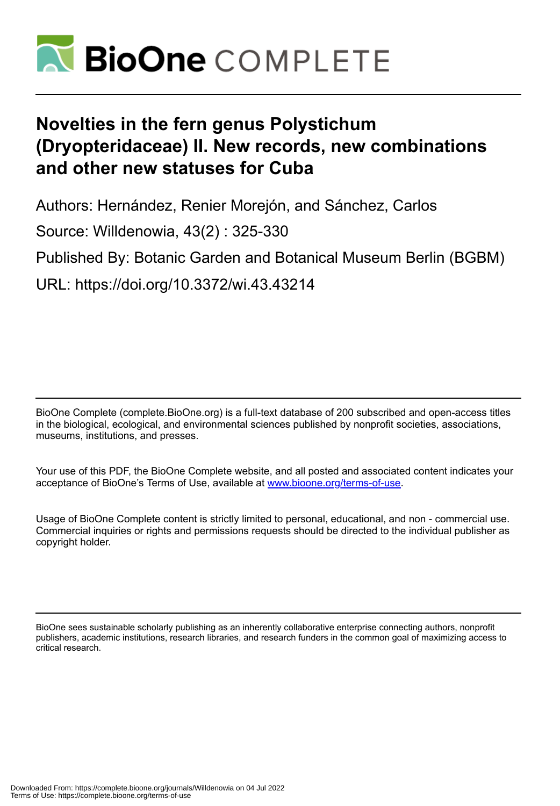

# **Novelties in the fern genus Polystichum (Dryopteridaceae) II. New records, new combinations and other new statuses for Cuba**

Authors: Hernández, Renier Morejón, and Sánchez, Carlos Source: Willdenowia, 43(2) : 325-330 Published By: Botanic Garden and Botanical Museum Berlin (BGBM) URL: https://doi.org/10.3372/wi.43.43214

BioOne Complete (complete.BioOne.org) is a full-text database of 200 subscribed and open-access titles in the biological, ecological, and environmental sciences published by nonprofit societies, associations, museums, institutions, and presses.

Your use of this PDF, the BioOne Complete website, and all posted and associated content indicates your acceptance of BioOne's Terms of Use, available at www.bioone.org/terms-of-use.

Usage of BioOne Complete content is strictly limited to personal, educational, and non - commercial use. Commercial inquiries or rights and permissions requests should be directed to the individual publisher as copyright holder.

BioOne sees sustainable scholarly publishing as an inherently collaborative enterprise connecting authors, nonprofit publishers, academic institutions, research libraries, and research funders in the common goal of maximizing access to critical research.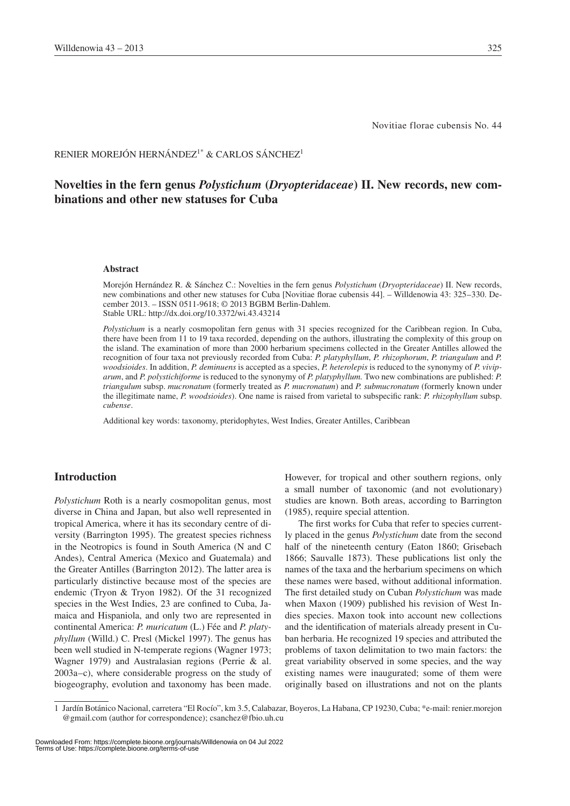Novitiae florae cubensis No. 44

# RENIER MOREJÓN HERNÁNDEZ<sup>1\*</sup> & CARLOS SÁNCHEZ<sup>1</sup>

# **Novelties in the fern genus** *Polystichum* **(***Dryopteridaceae***) II. New records, new combinations and other new statuses for Cuba**

#### **Abstract**

Morejón Hernández R. & Sánchez C.: Novelties in the fern genus *Polystichum* (*Dryopteridaceae*) II. New records, new combinations and other new statuses for Cuba [Novitiae florae cubensis 44]. – Willdenowia 43: 325–330. December 2013. – ISSN 0511-9618; © 2013 BGBM Berlin-Dahlem. Stable URL: http://dx.doi.org/10.3372/wi.43.43214

*Polystichum* is a nearly cosmopolitan fern genus with 31 species recognized for the Caribbean region. In Cuba, there have been from 11 to 19 taxa recorded, depending on the authors, illustrating the complexity of this group on the island. The examination of more than 2000 herbarium specimens collected in the Greater Antilles allowed the recognition of four taxa not previously recorded from Cuba: *P. platyphyllum*, *P. rhizophorum*, *P. triangulum* and *P. woodsioides*. In addition, *P. deminuens* is accepted as a species, *P. heterolepis* is reduced to the synonymy of *P. viviparum*, and *P. polystichiforme* is reduced to the synonymy of *P. platyphyllum.* Two new combinations are published: *P. triangulum* subsp. *mucronatum* (formerly treated as *P. mucronatum*) and *P. submucronatum* (formerly known under the illegitimate name, *P. woodsioides*). One name is raised from varietal to subspecific rank: *P. rhizophyllum* subsp. *cubense*.

Additional key words: taxonomy, pteridophytes, West Indies, Greater Antilles, Caribbean

# **Introduction**

*Polystichum* Roth is a nearly cosmopolitan genus, most diverse in China and Japan, but also well represented in tropical America, where it has its secondary centre of diversity (Barrington 1995). The greatest species richness in the Neotropics is found in South America (N and C Andes), Central America (Mexico and Guatemala) and the Greater Antilles (Barrington 2012). The latter area is particularly distinctive because most of the species are endemic (Tryon & Tryon 1982). Of the 31 recognized species in the West Indies, 23 are confined to Cuba, Jamaica and Hispaniola, and only two are represented in continental America: *P. muricatum* (L.) Fée and *P. platyphyllum* (Willd.) C. Presl (Mickel 1997). The genus has been well studied in N-temperate regions (Wagner 1973; Wagner 1979) and Australasian regions (Perrie & al. 2003a–c), where considerable progress on the study of biogeography, evolution and taxonomy has been made. However, for tropical and other southern regions, only a small number of taxonomic (and not evolutionary) studies are known. Both areas, according to Barrington (1985), require special attention.

The first works for Cuba that refer to species currently placed in the genus *Polystichum* date from the second half of the nineteenth century (Eaton 1860; Grisebach 1866; Sauvalle 1873). These publications list only the names of the taxa and the herbarium specimens on which these names were based, without additional information. The first detailed study on Cuban *Polystichum* was made when Maxon (1909) published his revision of West Indies species. Maxon took into account new collections and the identification of materials already present in Cuban herbaria. He recognized 19 species and attributed the problems of taxon delimitation to two main factors: the great variability observed in some species, and the way existing names were inaugurated; some of them were originally based on illustrations and not on the plants

Downloaded From: https://complete.bioone.org/journals/Willdenowia on 04 Jul 2022 Terms of Use: https://complete.bioone.org/terms-of-use

<sup>1</sup> Jardín Botánico Nacional, carretera "El Rocío", km 3.5, Calabazar, Boyeros, La Habana, CP 19230, Cuba; \*e-mail: renier.morejon @gmail.com (author for correspondence); csanchez@fbio.uh.cu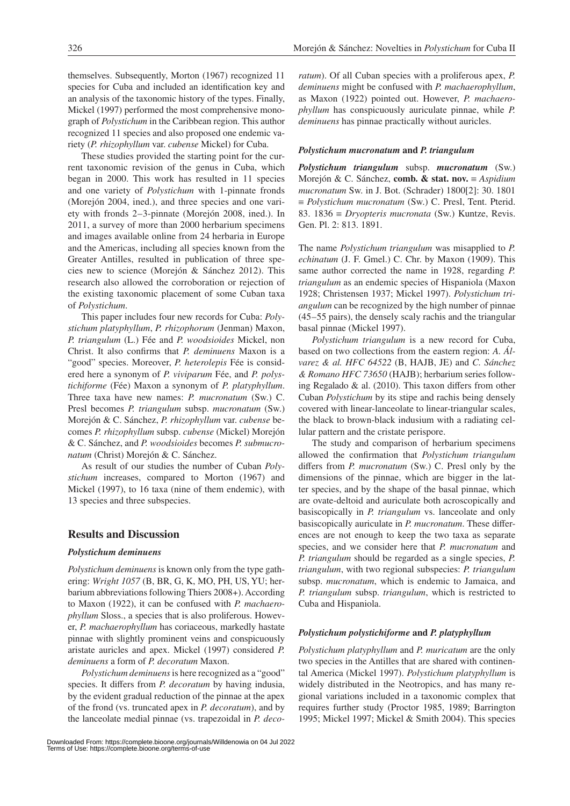themselves. Subsequently, Morton (1967) recognized 11 species for Cuba and included an identification key and an analysis of the taxonomic history of the types. Finally, Mickel (1997) performed the most comprehensive monograph of *Polystichum* in the Caribbean region. This author recognized 11 species and also proposed one endemic variety (*P. rhizophyllum* var. *cubense* Mickel) for Cuba.

These studies provided the starting point for the current taxonomic revision of the genus in Cuba, which began in 2000. This work has resulted in 11 species and one variety of *Polystichum* with 1-pinnate fronds (Morejón 2004, ined.), and three species and one variety with fronds 2–3-pinnate (Morejón 2008, ined.). In 2011, a survey of more than 2000 herbarium specimens and images available online from 24 herbaria in Europe and the Americas, including all species known from the Greater Antilles, resulted in publication of three species new to science (Morejón & Sánchez 2012). This research also allowed the corroboration or rejection of the existing taxonomic placement of some Cuban taxa of *Polystichum*.

This paper includes four new records for Cuba: *Polystichum platyphyllum*, *P. rhizophorum* (Jenman) Maxon, *P. triangulum* (L.) Fée and *P. woodsioides* Mickel, non Christ. It also confirms that *P. deminuens* Maxon is a "good" species. Moreover, *P. heterolepis* Fée is considered here a synonym of *P. viviparum* Fée, and *P. polystichiforme* (Fée) Maxon a synonym of *P. platyphyllum*. Three taxa have new names: *P. mucronatum* (Sw.) C. Presl becomes *P. triangulum* subsp. *mucronatum* (Sw.) Morejón & C. Sánchez, *P. rhizophyllum* var. *cubense* becomes *P. rhizophyllum* subsp. *cubense* (Mickel) Morejón & C. Sánchez, and *P. woodsioides* becomes *P. submucronatum* (Christ) Morejón & C. Sánchez.

As result of our studies the number of Cuban *Polystichum* increases, compared to Morton (1967) and Mickel (1997), to 16 taxa (nine of them endemic), with 13 species and three subspecies.

# **Results and Discussion**

## *Polystichum deminuens*

*Polystichum deminuens* is known only from the type gathering: *Wright 1057* (B, BR, G, K, MO, PH, US, YU; herbarium abbreviations following Thiers 2008+). According to Maxon (1922), it can be confused with *P. machaerophyllum* Sloss., a species that is also proliferous. However, *P. machaerophyllum* has coriaceous, markedly hastate pinnae with slightly prominent veins and conspicuously aristate auricles and apex. Mickel (1997) considered *P. deminuens* a form of *P. decoratum* Maxon.

*Polystichum deminuens* is here recognized as a "good" species. It differs from *P. decoratum* by having indusia, by the evident gradual reduction of the pinnae at the apex of the frond (vs. truncated apex in *P. decoratum*), and by the lanceolate medial pinnae (vs. trapezoidal in *P. deco-* *ratum*). Of all Cuban species with a proliferous apex, *P. deminuens* might be confused with *P. machaerophyllum*, as Maxon (1922) pointed out. However, *P. machaerophyllum* has conspicuously auriculate pinnae, while *P. deminuens* has pinnae practically without auricles.

#### *Polystichum mucronatum* **and** *P. triangulum*

*Polystichum triangulum* subsp. *mucronatum* (Sw.) Morejón & C. Sánchez, **comb. & stat. nov.** ≡ *Aspidium mucronatum* Sw. in J. Bot. (Schrader) 1800[2]: 30. 1801 ≡ *Polystichum mucronatum* (Sw.) C. Presl, Tent. Pterid. 83. 1836 ≡ *Dryopteris mucronata* (Sw.) Kuntze, Revis. Gen. Pl. 2: 813. 1891.

The name *Polystichum triangulum* was misapplied to *P. echinatum* (J. F. Gmel.) C. Chr. by Maxon (1909). This same author corrected the name in 1928, regarding *P. triangulum* as an endemic species of Hispaniola (Maxon 1928; Christensen 1937; Mickel 1997). *Polystichum triangulum* can be recognized by the high number of pinnae (45–55 pairs), the densely scaly rachis and the triangular basal pinnae (Mickel 1997).

*Polystichum triangulum* is a new record for Cuba, based on two collections from the eastern region: *A. Álvarez & al. HFC 64522* (B, HAJB, JE) and *C. Sánchez & Romano HFC 73650* (HAJB); herbarium series following Regalado & al. (2010). This taxon differs from other Cuban *Polystichum* by its stipe and rachis being densely covered with linear-lanceolate to linear-triangular scales, the black to brown-black indusium with a radiating cellular pattern and the cristate perispore.

The study and comparison of herbarium specimens allowed the confirmation that *Polystichum triangulum* differs from *P. mucronatum* (Sw.) C. Presl only by the dimensions of the pinnae, which are bigger in the latter species, and by the shape of the basal pinnae, which are ovate-deltoid and auriculate both acroscopically and basiscopically in *P. triangulum* vs. lanceolate and only basiscopically auriculate in *P. mucronatum*. These differences are not enough to keep the two taxa as separate species, and we consider here that *P. mucronatum* and *P. triangulum* should be regarded as a single species, *P. triangulum*, with two regional subspecies: *P. triangulum* subsp. *mucronatum*, which is endemic to Jamaica, and *P. triangulum* subsp. *triangulum*, which is restricted to Cuba and Hispaniola.

## *Polystichum polystichiforme* **and** *P. platyphyllum*

*Polystichum platyphyllum* and *P. muricatum* are the only two species in the Antilles that are shared with continental America (Mickel 1997). *Polystichum platyphyllum* is widely distributed in the Neotropics, and has many regional variations included in a taxonomic complex that requires further study (Proctor 1985, 1989; Barrington 1995; Mickel 1997; Mickel & Smith 2004). This species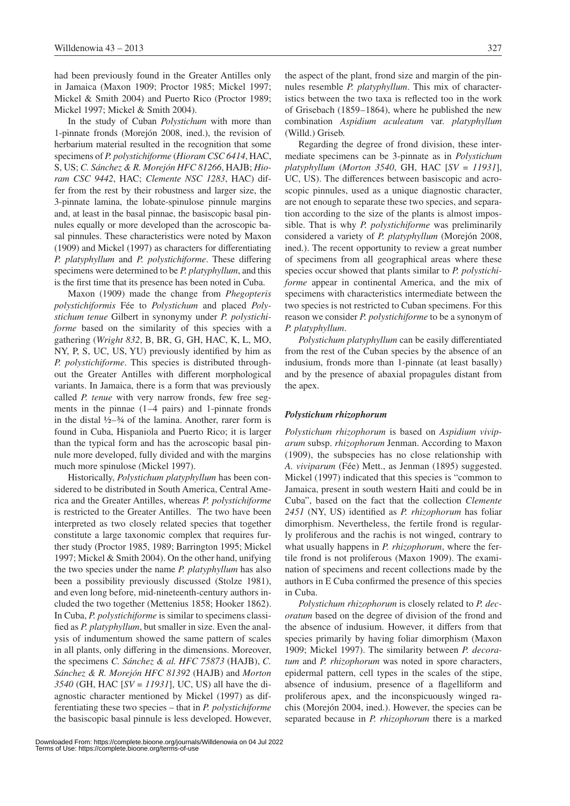had been previously found in the Greater Antilles only in Jamaica (Maxon 1909; Proctor 1985; Mickel 1997; Mickel & Smith 2004) and Puerto Rico (Proctor 1989; Mickel 1997; Mickel & Smith 2004).

In the study of Cuban *Polystichum* with more than 1-pinnate fronds (Morejón 2008, ined.), the revision of herbarium material resulted in the recognition that some specimens of *P. polystichiforme* (*Hioram CSC 6414*, HAC, S, US; *C. Sánchez & R. Morejón HFC 81266*, HAJB; *Hioram CSC 9442*, HAC; *Clemente NSC 1283*, HAC) differ from the rest by their robustness and larger size, the 3-pinnate lamina, the lobate-spinulose pinnule margins and, at least in the basal pinnae, the basiscopic basal pinnules equally or more developed than the acroscopic basal pinnules. These characteristics were noted by Maxon (1909) and Mickel (1997) as characters for differentiating *P. platyphyllum* and *P. polystichiforme*. These differing specimens were determined to be *P. platyphyllum*, and this is the first time that its presence has been noted in Cuba.

Maxon (1909) made the change from *Phegopteris polystichiformis* Fée to *Polystichum* and placed *Polystichum tenue* Gilbert in synonymy under *P. polystichiforme* based on the similarity of this species with a gathering (*Wright 832*, B, BR, G, GH, HAC, K, L, MO, NY, P, S, UC, US, YU) previously identified by him as *P. polystichiforme*. This species is distributed throughout the Greater Antilles with different morphological variants. In Jamaica, there is a form that was previously called *P. tenue* with very narrow fronds, few free segments in the pinnae (1–4 pairs) and 1-pinnate fronds in the distal  $\frac{1}{2} - \frac{3}{4}$  of the lamina. Another, rarer form is found in Cuba, Hispaniola and Puerto Rico; it is larger than the typical form and has the acroscopic basal pinnule more developed, fully divided and with the margins much more spinulose (Mickel 1997).

Historically, *Polystichum platyphyllum* has been considered to be distributed in South America, Central America and the Greater Antilles, whereas *P. polystichiforme* is restricted to the Greater Antilles. The two have been interpreted as two closely related species that together constitute a large taxonomic complex that requires further study (Proctor 1985, 1989; Barrington 1995; Mickel 1997; Mickel & Smith 2004). On the other hand, unifying the two species under the name *P. platyphyllum* has also been a possibility previously discussed (Stolze 1981), and even long before, mid-nineteenth-century authors included the two together (Mettenius 1858; Hooker 1862). In Cuba, *P. polystichiforme* is similar to specimens classified as *P. platyphyllum*, but smaller in size. Even the analysis of indumentum showed the same pattern of scales in all plants, only differing in the dimensions. Moreover, the specimens *C. Sánchez & al. HFC 75873* (HAJB), *C. Sánchez & R. Morejón HFC 81392* (HAJB) and *Morton 3540* (GH, HAC [*SV = 11931*], UC, US) all have the diagnostic character mentioned by Mickel (1997) as differentiating these two species – that in *P. polystichiforme* the basiscopic basal pinnule is less developed. However, the aspect of the plant, frond size and margin of the pinnules resemble *P. platyphyllum*. This mix of characteristics between the two taxa is reflected too in the work of Grisebach (1859–1864), where he published the new combination *Aspidium aculeatum* var. *platyphyllum* (Willd.) Griseb.

Regarding the degree of frond division, these intermediate specimens can be 3-pinnate as in *Polystichum platyphyllum* (*Morton 3540*, GH, HAC [*SV = 11931*], UC, US). The differences between basiscopic and acroscopic pinnules, used as a unique diagnostic character, are not enough to separate these two species, and separation according to the size of the plants is almost impossible. That is why *P. polystichiforme* was preliminarily considered a variety of *P. platyphyllum* (Morejón 2008, ined.). The recent opportunity to review a great number of specimens from all geographical areas where these species occur showed that plants similar to *P. polystichiforme* appear in continental America, and the mix of specimens with characteristics intermediate between the two species is not restricted to Cuban specimens. For this reason we consider *P. polystichiforme* to be a synonym of *P. platyphyllum*.

*Polystichum platyphyllum* can be easily differentiated from the rest of the Cuban species by the absence of an indusium, fronds more than 1-pinnate (at least basally) and by the presence of abaxial propagules distant from the apex.

#### *Polystichum rhizophorum*

*Polystichum rhizophorum* is based on *Aspidium viviparum* subsp. *rhizophorum* Jenman. According to Maxon (1909), the subspecies has no close relationship with *A. viviparum* (Fée) Mett., as Jenman (1895) suggested. Mickel (1997) indicated that this species is "common to Jamaica, present in south western Haiti and could be in Cuba", based on the fact that the collection *Clemente 2451* (NY, US) identified as *P. rhizophorum* has foliar dimorphism. Nevertheless, the fertile frond is regularly proliferous and the rachis is not winged, contrary to what usually happens in *P. rhizophorum*, where the fertile frond is not proliferous (Maxon 1909). The examination of specimens and recent collections made by the authors in E Cuba confirmed the presence of this species in Cuba.

*Polystichum rhizophorum* is closely related to *P. decoratum* based on the degree of division of the frond and the absence of indusium. However, it differs from that species primarily by having foliar dimorphism (Maxon 1909; Mickel 1997). The similarity between *P. decoratum* and *P. rhizophorum* was noted in spore characters, epidermal pattern, cell types in the scales of the stipe, absence of indusium, presence of a flagelliform and proliferous apex, and the inconspicuously winged rachis (Morejón 2004, ined.). However, the species can be separated because in *P. rhizophorum* there is a marked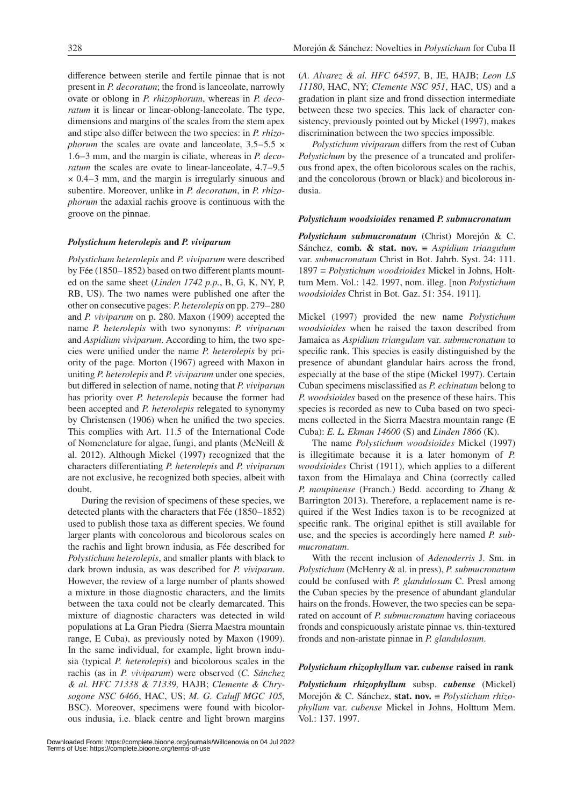difference between sterile and fertile pinnae that is not present in *P. decoratum*; the frond is lanceolate, narrowly ovate or oblong in *P. rhizophorum*, whereas in *P. decoratum* it is linear or linear-oblong-lanceolate. The type, dimensions and margins of the scales from the stem apex and stipe also differ between the two species: in *P. rhizophorum* the scales are ovate and lanceolate,  $3.5-5.5 \times$ 1.6–3 mm, and the margin is ciliate, whereas in *P. decoratum* the scales are ovate to linear-lanceolate, 4.7–9.5 × 0.4–3 mm, and the margin is irregularly sinuous and subentire. Moreover, unlike in *P. decoratum*, in *P. rhizophorum* the adaxial rachis groove is continuous with the groove on the pinnae.

#### *Polystichum heterolepis* **and** *P. viviparum*

*Polystichum heterolepis* and *P. viviparum* were described by Fée (1850–1852) based on two different plants mounted on the same sheet (*Linden 1742 p.p.*, B, G, K, NY, P, RB, US). The two names were published one after the other on consecutive pages: *P. heterolepis* on pp. 279–280 and *P. viviparum* on p. 280. Maxon (1909) accepted the name *P. heterolepis* with two synonyms: *P. viviparum*  and *Aspidium viviparum*. According to him, the two species were unified under the name *P. heterolepis* by priority of the page. Morton (1967) agreed with Maxon in uniting *P. heterolepis* and *P. viviparum* under one species, but differed in selection of name, noting that *P. viviparum* has priority over *P. heterolepis* because the former had been accepted and *P. heterolepis* relegated to synonymy by Christensen (1906) when he unified the two species. This complies with Art. 11.5 of the International Code of Nomenclature for algae, fungi, and plants (McNeill & al. 2012). Although Mickel (1997) recognized that the characters differentiating *P. heterolepis* and *P. viviparum* are not exclusive, he recognized both species, albeit with doubt.

During the revision of specimens of these species, we detected plants with the characters that Fée (1850–1852) used to publish those taxa as different species. We found larger plants with concolorous and bicolorous scales on the rachis and light brown indusia, as Fée described for *Polystichum heterolepis*, and smaller plants with black to dark brown indusia, as was described for *P. viviparum*. However, the review of a large number of plants showed a mixture in those diagnostic characters, and the limits between the taxa could not be clearly demarcated. This mixture of diagnostic characters was detected in wild populations at La Gran Piedra (Sierra Maestra mountain range, E Cuba), as previously noted by Maxon (1909). In the same individual, for example, light brown indusia (typical *P. heterolepis*) and bicolorous scales in the rachis (as in *P. viviparum*) were observed (*C. Sánchez & al. HFC 71338 & 71339,* HAJB; *Clemente & Chrysogone NSC 6466*, HAC, US; *M. G. Caluff MGC 105,*  BSC). Moreover, specimens were found with bicolorous indusia, i.e. black centre and light brown margins

(*A. Alvarez & al. HFC 64597*, B, JE, HAJB; *Leon LS 11180*, HAC, NY; *Clemente NSC 951*, HAC, US) and a gradation in plant size and frond dissection intermediate between these two species. This lack of character consistency, previously pointed out by Mickel (1997), makes discrimination between the two species impossible.

*Polystichum viviparum* differs from the rest of Cuban *Polystichum* by the presence of a truncated and proliferous frond apex, the often bicolorous scales on the rachis, and the concolorous (brown or black) and bicolorous indusia.

#### *Polystichum woodsioides* **renamed** *P. submucronatum*

*Polystichum submucronatum* (Christ) Morejón & C. Sánchez, **comb. & stat. nov.** ≡ *Aspidium triangulum* var. *submucronatum* Christ in Bot. Jahrb. Syst. 24: 111. 1897 ≡ *Polystichum woodsioides* Mickel in Johns, Holttum Mem. Vol.: 142. 1997, nom. illeg. [non *Polystichum woodsioides* Christ in Bot. Gaz. 51: 354. 1911].

Mickel (1997) provided the new name *Polystichum woodsioides* when he raised the taxon described from Jamaica as *Aspidium triangulum* var. *submucronatum* to specific rank. This species is easily distinguished by the presence of abundant glandular hairs across the frond, especially at the base of the stipe (Mickel 1997). Certain Cuban specimens misclassified as *P. echinatum* belong to *P. woodsioides* based on the presence of these hairs. This species is recorded as new to Cuba based on two specimens collected in the Sierra Maestra mountain range (E Cuba): *E. L. Ekman 14600* (S) and *Linden 1866* (K).

The name *Polystichum woodsioides* Mickel (1997) is illegitimate because it is a later homonym of *P. woodsioides* Christ (1911), which applies to a different taxon from the Himalaya and China (correctly called *P. moupinense* (Franch.) Bedd. according to Zhang & Barrington 2013). Therefore, a replacement name is required if the West Indies taxon is to be recognized at specific rank. The original epithet is still available for use, and the species is accordingly here named *P. submucronatum*.

With the recent inclusion of *Adenoderris* J. Sm. in *Polystichum* (McHenry & al. in press), *P. submucronatum* could be confused with *P. glandulosum* C. Presl among the Cuban species by the presence of abundant glandular hairs on the fronds. However, the two species can be separated on account of *P. submucronatum* having coriaceous fronds and conspicuously aristate pinnae vs. thin-textured fronds and non-aristate pinnae in *P. glandulosum*.

#### *Polystichum rhizophyllum* **var.** *cubense* **raised in rank**

*Polystichum rhizophyllum* subsp. *cubense* (Mickel) Morejón & C. Sánchez, **stat. nov.** ≡ *Polystichum rhizophyllum* var. *cubense* Mickel in Johns, Holttum Mem. Vol.: 137. 1997.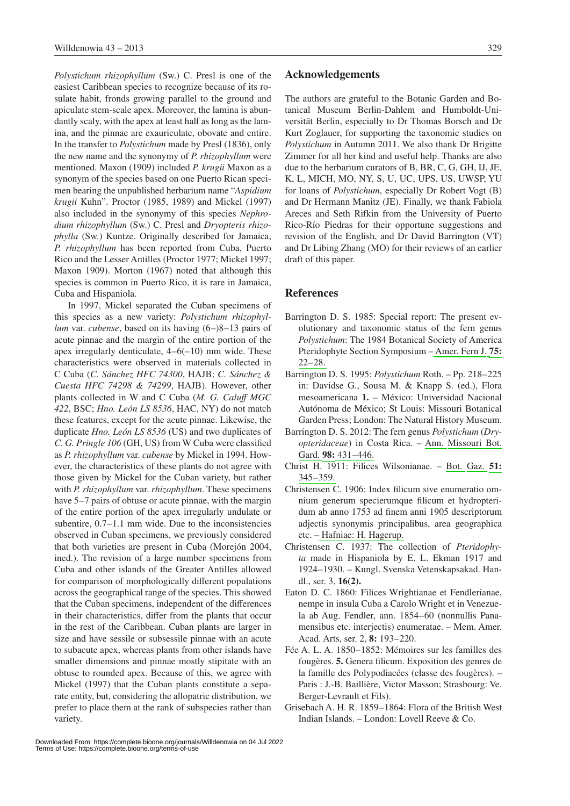*Polystichum rhizophyllum* (Sw.) C. Presl is one of the easiest Caribbean species to recognize because of its rosulate habit, fronds growing parallel to the ground and apiculate stem-scale apex. Moreover, the lamina is abundantly scaly, with the apex at least half as long as the lamina, and the pinnae are exauriculate, obovate and entire. In the transfer to *Polystichum* made by Presl (1836), only the new name and the synonymy of *P. rhizophyllum* were mentioned. Maxon (1909) included *P. krugii* Maxon as a synonym of the species based on one Puerto Rican specimen bearing the unpublished herbarium name "*Aspidium krugii* Kuhn". Proctor (1985, 1989) and Mickel (1997) also included in the synonymy of this species *Nephrodium rhizophyllum* (Sw.) C. Presl and *Dryopteris rhizophylla* (Sw.) Kuntze. Originally described for Jamaica, *P. rhizophyllum* has been reported from Cuba, Puerto Rico and the Lesser Antilles (Proctor 1977; Mickel 1997; Maxon 1909). Morton (1967) noted that although this species is common in Puerto Rico, it is rare in Jamaica, Cuba and Hispaniola.

In 1997, Mickel separated the Cuban specimens of this species as a new variety: *Polystichum rhizophyllum* var. *cubense*, based on its having (6–)8–13 pairs of acute pinnae and the margin of the entire portion of the apex irregularly denticulate,  $4-6(-10)$  mm wide. These characteristics were observed in materials collected in C Cuba (*C. Sánchez HFC 74300*, HAJB; *C. Sánchez & Cuesta HFC 74298 & 74299*, HAJB). However, other plants collected in W and C Cuba (*M. G. Caluff MGC 422*, BSC; *Hno. León LS 8536*, HAC, NY) do not match these features, except for the acute pinnae. Likewise, the duplicate *Hno. León LS 8536* (US) and two duplicates of *C. G. Pringle 106* (GH, US) from W Cuba were classified as *P. rhizophyllum* var. *cubense* by Mickel in 1994. However, the characteristics of these plants do not agree with those given by Mickel for the Cuban variety, but rather with *P. rhizophyllum* var. *rhizophyllum*. These specimens have 5–7 pairs of obtuse or acute pinnae, with the margin of the entire portion of the apex irregularly undulate or subentire, 0.7–1.1 mm wide. Due to the inconsistencies observed in Cuban specimens, we previously considered that both varieties are present in Cuba (Morejón 2004, ined.). The revision of a large number specimens from Cuba and other islands of the Greater Antilles allowed for comparison of morphologically different populations across the geographical range of the species. This showed that the Cuban specimens, independent of the differences in their characteristics, differ from the plants that occur in the rest of the Caribbean. Cuban plants are larger in size and have sessile or subsessile pinnae with an acute to subacute apex, whereas plants from other islands have smaller dimensions and pinnae mostly stipitate with an obtuse to rounded apex. Because of this, we agree with Mickel (1997) that the Cuban plants constitute a separate entity, but, considering the allopatric distribution, we prefer to place them at the rank of subspecies rather than variety.

## **Acknowledgements**

The authors are grateful to the Botanic Garden and Botanical Museum Berlin-Dahlem and Humboldt-Universität Berlin, especially to Dr Thomas Borsch and Dr Kurt Zoglauer, for supporting the taxonomic studies on *Polystichum* in Autumn 2011. We also thank Dr Brigitte Zimmer for all her kind and useful help. Thanks are also due to the herbarium curators of B, BR, C, G, GH, IJ, JE, K, L, MICH, MO, NY, S, U, UC, UPS, US, UWSP, YU for loans of *Polystichum*, especially Dr Robert Vogt (B) and Dr Hermann Manitz (JE). Finally, we thank Fabiola Areces and Seth Rifkin from the University of Puerto Rico-Río Piedras for their opportune suggestions and revision of the English, and Dr David Barrington (VT) and Dr Libing Zhang (MO) for their reviews of an earlier draft of this paper.

# **References**

- Barrington D. S. 1985: Special report: The present evolutionary and taxonomic status of the fern genus *Polystichum*: The 1984 Botanical Society of America Pteridophyte Section Symposium – [Amer. Fern J.](http://dx.doi.org/10.2307/1546577) **[75:](http://dx.doi.org/10.2307/1546577)** [22–28.](http://dx.doi.org/10.2307/1546577)
- Barrington D. S. 1995: *Polystichum* Roth. Pp. 218–225 in: Davidse G., Sousa M. & Knapp S. (ed.), Flora mesoamericana **1.** – México: Universidad Nacional Autónoma de México; St Louis: Missouri Botanical Garden Press; London: The Natural History Museum.
- Barrington D. S. 2012: The fern genus *Polystichum* (*Dryopteridaceae*) in Costa Rica. – [Ann. Missouri Bot.](http://dx.doi.org/10.3417/2011051) [Gard.](http://dx.doi.org/10.3417/2011051) **[98:](http://dx.doi.org/10.3417/2011051)** [431–446.](http://dx.doi.org/10.3417/2011051)
- Christ H. 1911: Filices Wilsonianae. [Bot. Gaz.](http://dx.doi.org/10.1086/330524) **[51:](http://dx.doi.org/10.1086/330524)**  [345–359.](http://dx.doi.org/10.1086/330524)
- Christensen C. 1906: Index filicum sive enumeratio omnium generum specierumque filicum et hydropteridum ab anno 1753 ad finem anni 1905 descriptorum adjectis synonymis principalibus, area geographica etc. [– Hafniae: H. Hagerup.](http://dx.doi.org/10.5962/bhl.title.402)
- Christensen C. 1937: The collection of *Pteridophyta* made in Hispaniola by E. L. Ekman 1917 and 1924–1930. – Kungl. Svenska Vetenskapsakad. Handl., ser. 3, **16(2).**
- Eaton D. C. 1860: Filices Wrightianae et Fendlerianae, nempe in insula Cuba a Carolo Wright et in Venezuela ab Aug. Fendler, ann. 1854–60 (nonnullis Panamensibus etc. interjectis) enumeratae. – Mem. Amer. Acad. Arts, ser. 2, **8:** 193–220.
- Fée A. L. A. 1850–1852: Mémoires sur les familles des fougères. **5.** Genera filicum. Exposition des genres de la famille des Polypodiacées (classe des fougères). – Paris : J.-B. Baillière, Victor Masson; Strasbourg: Ve. Berger-Levrault et Fils).
- Grisebach A. H. R. 1859–1864: Flora of the British West Indian Islands. – London: Lovell Reeve & Co.